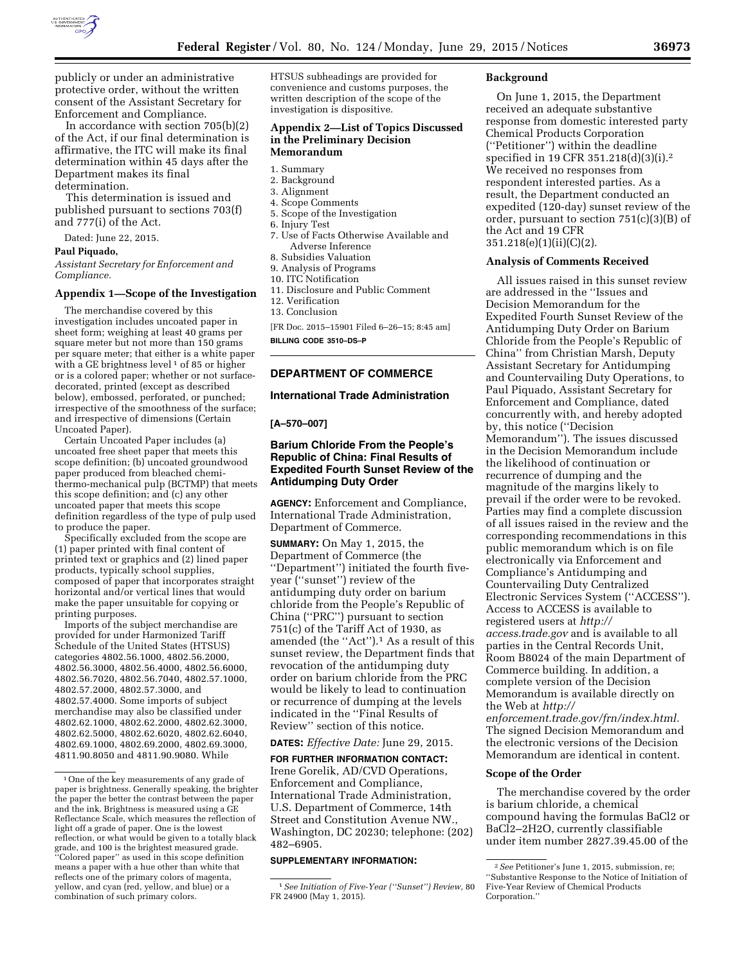

publicly or under an administrative protective order, without the written consent of the Assistant Secretary for Enforcement and Compliance.

In accordance with section 705(b)(2) of the Act, if our final determination is affirmative, the ITC will make its final determination within 45 days after the Department makes its final determination.

This determination is issued and published pursuant to sections 703(f) and 777(i) of the Act.

Dated: June 22, 2015.

### **Paul Piquado,**

*Assistant Secretary for Enforcement and Compliance.* 

#### **Appendix 1—Scope of the Investigation**

The merchandise covered by this investigation includes uncoated paper in sheet form; weighing at least 40 grams per square meter but not more than 150 grams per square meter; that either is a white paper with a GE brightness level<sup>1</sup> of 85 or higher or is a colored paper; whether or not surfacedecorated, printed (except as described below), embossed, perforated, or punched; irrespective of the smoothness of the surface; and irrespective of dimensions (Certain Uncoated Paper).

Certain Uncoated Paper includes (a) uncoated free sheet paper that meets this scope definition; (b) uncoated groundwood paper produced from bleached chemithermo-mechanical pulp (BCTMP) that meets this scope definition; and (c) any other uncoated paper that meets this scope definition regardless of the type of pulp used to produce the paper.

Specifically excluded from the scope are (1) paper printed with final content of printed text or graphics and (2) lined paper products, typically school supplies, composed of paper that incorporates straight horizontal and/or vertical lines that would make the paper unsuitable for copying or printing purposes.

Imports of the subject merchandise are provided for under Harmonized Tariff Schedule of the United States (HTSUS) categories 4802.56.1000, 4802.56.2000, 4802.56.3000, 4802.56.4000, 4802.56.6000, 4802.56.7020, 4802.56.7040, 4802.57.1000, 4802.57.2000, 4802.57.3000, and 4802.57.4000. Some imports of subject merchandise may also be classified under 4802.62.1000, 4802.62.2000, 4802.62.3000, 4802.62.5000, 4802.62.6020, 4802.62.6040, 4802.69.1000, 4802.69.2000, 4802.69.3000, 4811.90.8050 and 4811.90.9080. While

HTSUS subheadings are provided for convenience and customs purposes, the written description of the scope of the investigation is dispositive.

## **Appendix 2—List of Topics Discussed in the Preliminary Decision Memorandum**

- 1. Summary
- 2. Background
- 3. Alignment
- 4. Scope Comments
- 5. Scope of the Investigation
- 6. Injury Test
- 7. Use of Facts Otherwise Available and Adverse Inference
- 8. Subsidies Valuation
- 9. Analysis of Programs
- 10. ITC Notification
- 11. Disclosure and Public Comment
- 12. Verification
- 13. Conclusion
- [FR Doc. 2015–15901 Filed 6–26–15; 8:45 am]

**BILLING CODE 3510–DS–P** 

# **DEPARTMENT OF COMMERCE**

## **International Trade Administration**

#### **[A–570–007]**

# **Barium Chloride From the People's Republic of China: Final Results of Expedited Fourth Sunset Review of the Antidumping Duty Order**

**AGENCY:** Enforcement and Compliance, International Trade Administration, Department of Commerce.

**SUMMARY:** On May 1, 2015, the Department of Commerce (the ''Department'') initiated the fourth fiveyear (''sunset'') review of the antidumping duty order on barium chloride from the People's Republic of China (''PRC'') pursuant to section 751(c) of the Tariff Act of 1930, as amended (the "Act").<sup>1</sup> As a result of this sunset review, the Department finds that revocation of the antidumping duty order on barium chloride from the PRC would be likely to lead to continuation or recurrence of dumping at the levels indicated in the ''Final Results of Review'' section of this notice.

# **DATES:** *Effective Date:* June 29, 2015.

# **FOR FURTHER INFORMATION CONTACT:**  Irene Gorelik, AD/CVD Operations,

Enforcement and Compliance, International Trade Administration, U.S. Department of Commerce, 14th Street and Constitution Avenue NW., Washington, DC 20230; telephone: (202) 482–6905.

#### **SUPPLEMENTARY INFORMATION:**

#### **Background**

On June 1, 2015, the Department received an adequate substantive response from domestic interested party Chemical Products Corporation (''Petitioner'') within the deadline specified in 19 CFR 351.218(d)(3)(i).2 We received no responses from respondent interested parties. As a result, the Department conducted an expedited (120-day) sunset review of the order, pursuant to section 751(c)(3)(B) of the Act and 19 CFR 351.218(e)(1)(ii)(C)(2).

#### **Analysis of Comments Received**

All issues raised in this sunset review are addressed in the ''Issues and Decision Memorandum for the Expedited Fourth Sunset Review of the Antidumping Duty Order on Barium Chloride from the People's Republic of China'' from Christian Marsh, Deputy Assistant Secretary for Antidumping and Countervailing Duty Operations, to Paul Piquado, Assistant Secretary for Enforcement and Compliance, dated concurrently with, and hereby adopted by, this notice (''Decision Memorandum''). The issues discussed in the Decision Memorandum include the likelihood of continuation or recurrence of dumping and the magnitude of the margins likely to prevail if the order were to be revoked. Parties may find a complete discussion of all issues raised in the review and the corresponding recommendations in this public memorandum which is on file electronically via Enforcement and Compliance's Antidumping and Countervailing Duty Centralized Electronic Services System (''ACCESS''). Access to ACCESS is available to registered users at *[http://](http://access.trade.gov) [access.trade.gov](http://access.trade.gov)* and is available to all parties in the Central Records Unit, Room B8024 of the main Department of Commerce building. In addition, a complete version of the Decision Memorandum is available directly on the Web at *[http://](http://enforcement.trade.gov/frn/index.html)* 

*[enforcement.trade.gov/frn/index.html.](http://enforcement.trade.gov/frn/index.html)*  The signed Decision Memorandum and the electronic versions of the Decision Memorandum are identical in content.

#### **Scope of the Order**

The merchandise covered by the order is barium chloride, a chemical compound having the formulas BaCl2 or BaCl2–2H2O, currently classifiable under item number 2827.39.45.00 of the

<sup>1</sup>One of the key measurements of any grade of paper is brightness. Generally speaking, the brighter the paper the better the contrast between the paper and the ink. Brightness is measured using a GE Reflectance Scale, which measures the reflection of light off a grade of paper. One is the lowest reflection, or what would be given to a totally black grade, and 100 is the brightest measured grade. ''Colored paper'' as used in this scope definition means a paper with a hue other than white that reflects one of the primary colors of magenta, yellow, and cyan (red, yellow, and blue) or a combination of such primary colors.

<sup>1</sup>*See Initiation of Five-Year (''Sunset'') Review,* 80 FR 24900 (May 1, 2015).

<sup>2</sup>*See* Petitioner's June 1, 2015, submission, re; ''Substantive Response to the Notice of Initiation of Five-Year Review of Chemical Products Corporation.''